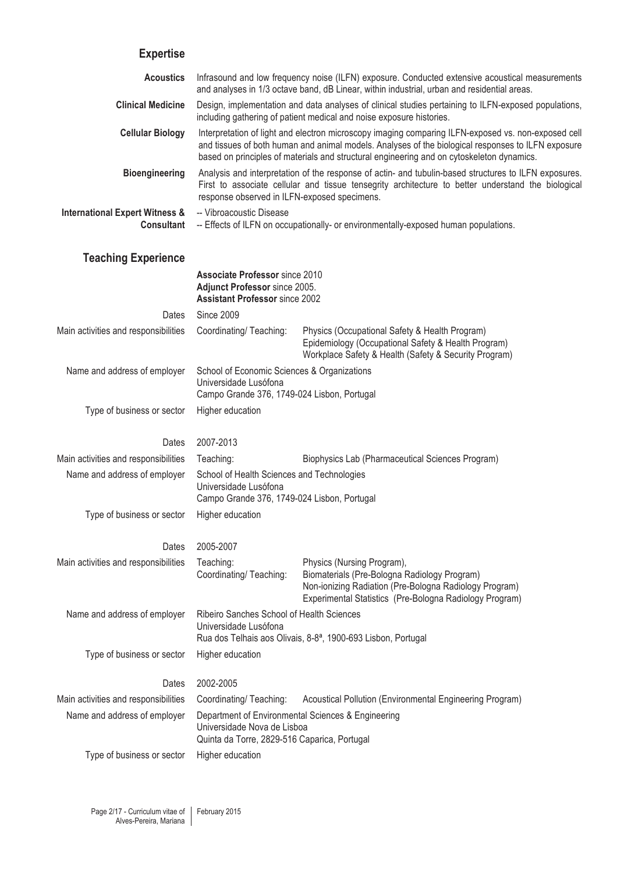# **Expertise**

| LAPULUJU                                                       |                                                                                                                                                                                                                                                                                                        |                                                                                                                                                                                                 |  |
|----------------------------------------------------------------|--------------------------------------------------------------------------------------------------------------------------------------------------------------------------------------------------------------------------------------------------------------------------------------------------------|-------------------------------------------------------------------------------------------------------------------------------------------------------------------------------------------------|--|
| <b>Acoustics</b>                                               | Infrasound and low frequency noise (ILFN) exposure. Conducted extensive acoustical measurements<br>and analyses in 1/3 octave band, dB Linear, within industrial, urban and residential areas.                                                                                                         |                                                                                                                                                                                                 |  |
| <b>Clinical Medicine</b>                                       | Design, implementation and data analyses of clinical studies pertaining to ILFN-exposed populations,<br>including gathering of patient medical and noise exposure histories.                                                                                                                           |                                                                                                                                                                                                 |  |
| <b>Cellular Biology</b>                                        | Interpretation of light and electron microscopy imaging comparing ILFN-exposed vs. non-exposed cell<br>and tissues of both human and animal models. Analyses of the biological responses to ILFN exposure<br>based on principles of materials and structural engineering and on cytoskeleton dynamics. |                                                                                                                                                                                                 |  |
| <b>Bioengineering</b>                                          | Analysis and interpretation of the response of actin- and tubulin-based structures to ILFN exposures.<br>First to associate cellular and tissue tensegrity architecture to better understand the biological<br>response observed in ILFN-exposed specimens.                                            |                                                                                                                                                                                                 |  |
| <b>International Expert Witness &amp;</b><br><b>Consultant</b> | -- Vibroacoustic Disease<br>-- Effects of ILFN on occupationally- or environmentally-exposed human populations.                                                                                                                                                                                        |                                                                                                                                                                                                 |  |
| <b>Teaching Experience</b>                                     |                                                                                                                                                                                                                                                                                                        |                                                                                                                                                                                                 |  |
|                                                                | <b>Associate Professor since 2010</b><br>Adjunct Professor since 2005.<br><b>Assistant Professor since 2002</b>                                                                                                                                                                                        |                                                                                                                                                                                                 |  |
| Dates                                                          | <b>Since 2009</b>                                                                                                                                                                                                                                                                                      |                                                                                                                                                                                                 |  |
| Main activities and responsibilities                           | Coordinating/ Teaching:                                                                                                                                                                                                                                                                                | Physics (Occupational Safety & Health Program)<br>Epidemiology (Occupational Safety & Health Program)<br>Workplace Safety & Health (Safety & Security Program)                                  |  |
| Name and address of employer                                   | School of Economic Sciences & Organizations<br>Universidade Lusófona<br>Campo Grande 376, 1749-024 Lisbon, Portugal                                                                                                                                                                                    |                                                                                                                                                                                                 |  |
| Type of business or sector                                     | Higher education                                                                                                                                                                                                                                                                                       |                                                                                                                                                                                                 |  |
| Dates                                                          | 2007-2013                                                                                                                                                                                                                                                                                              |                                                                                                                                                                                                 |  |
| Main activities and responsibilities                           | Teaching:                                                                                                                                                                                                                                                                                              | Biophysics Lab (Pharmaceutical Sciences Program)                                                                                                                                                |  |
| Name and address of employer                                   | School of Health Sciences and Technologies<br>Universidade Lusófona<br>Campo Grande 376, 1749-024 Lisbon, Portugal                                                                                                                                                                                     |                                                                                                                                                                                                 |  |
| Type of business or sector                                     | Higher education                                                                                                                                                                                                                                                                                       |                                                                                                                                                                                                 |  |
| Dates                                                          | 2005-2007                                                                                                                                                                                                                                                                                              |                                                                                                                                                                                                 |  |
| Main activities and responsibilities                           | Teaching:<br>Coordinating/ Teaching:                                                                                                                                                                                                                                                                   | Physics (Nursing Program),<br>Biomaterials (Pre-Bologna Radiology Program)<br>Non-ionizing Radiation (Pre-Bologna Radiology Program)<br>Experimental Statistics (Pre-Bologna Radiology Program) |  |
| Name and address of employer                                   | Ribeiro Sanches School of Health Sciences<br>Universidade Lusófona<br>Rua dos Telhais aos Olivais, 8-8 <sup>a</sup> , 1900-693 Lisbon, Portugal                                                                                                                                                        |                                                                                                                                                                                                 |  |
| Type of business or sector                                     | Higher education                                                                                                                                                                                                                                                                                       |                                                                                                                                                                                                 |  |
| Dates                                                          | 2002-2005                                                                                                                                                                                                                                                                                              |                                                                                                                                                                                                 |  |
| Main activities and responsibilities                           | Coordinating/Teaching:                                                                                                                                                                                                                                                                                 | Acoustical Pollution (Environmental Engineering Program)                                                                                                                                        |  |
| Name and address of employer                                   | Department of Environmental Sciences & Engineering<br>Universidade Nova de Lisboa<br>Quinta da Torre, 2829-516 Caparica, Portugal                                                                                                                                                                      |                                                                                                                                                                                                 |  |
| Type of business or sector                                     | Higher education                                                                                                                                                                                                                                                                                       |                                                                                                                                                                                                 |  |
|                                                                |                                                                                                                                                                                                                                                                                                        |                                                                                                                                                                                                 |  |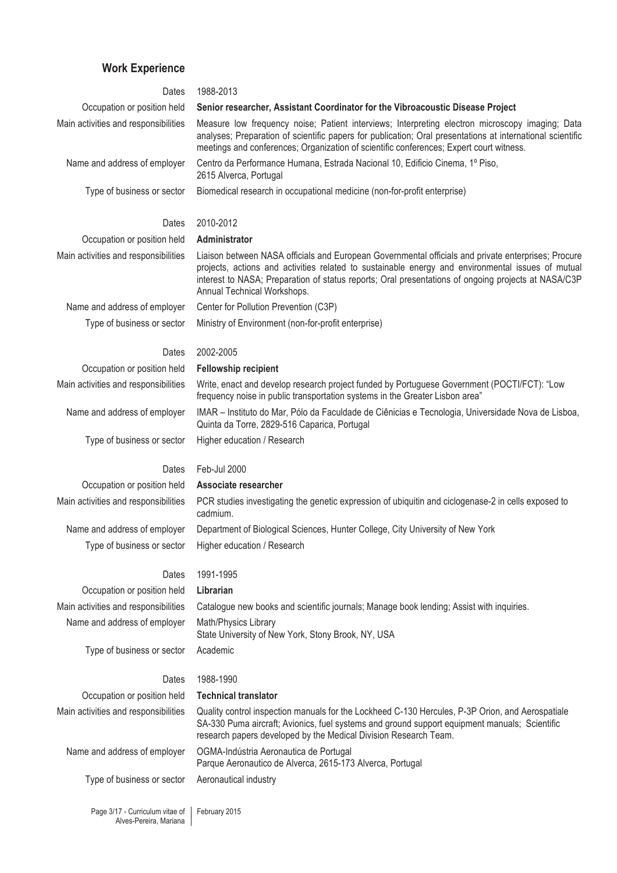# **Work Experience**

| Dates                                | 1988-2013                                                                                                                                                                                                                                                                                                                                      |  |
|--------------------------------------|------------------------------------------------------------------------------------------------------------------------------------------------------------------------------------------------------------------------------------------------------------------------------------------------------------------------------------------------|--|
| Occupation or position held          | Senior researcher, Assistant Coordinator for the Vibroacoustic Disease Project                                                                                                                                                                                                                                                                 |  |
| Main activities and responsibilities | Measure low frequency noise; Patient interviews; Interpreting electron microscopy imaging; Data<br>analyses; Preparation of scientific papers for publication; Oral presentations at international scientific<br>meetings and conferences; Organization of scientific conferences; Expert court witness.                                       |  |
| Name and address of employer         | Centro da Performance Humana, Estrada Nacional 10, Edificio Cinema, 1º Piso,<br>2615 Alverca, Portugal                                                                                                                                                                                                                                         |  |
| Type of business or sector           | Biomedical research in occupational medicine (non-for-profit enterprise)                                                                                                                                                                                                                                                                       |  |
| Dates                                | 2010-2012                                                                                                                                                                                                                                                                                                                                      |  |
| Occupation or position held          | Administrator                                                                                                                                                                                                                                                                                                                                  |  |
| Main activities and responsibilities | Liaison between NASA officials and European Governmental officials and private enterprises; Procure<br>projects, actions and activities related to sustainable energy and environmental issues of mutual<br>interest to NASA; Preparation of status reports; Oral presentations of ongoing projects at NASA/C3P<br>Annual Technical Workshops. |  |
| Name and address of employer         | Center for Pollution Prevention (C3P)                                                                                                                                                                                                                                                                                                          |  |
| Type of business or sector           | Ministry of Environment (non-for-profit enterprise)                                                                                                                                                                                                                                                                                            |  |
| Dates                                | 2002-2005                                                                                                                                                                                                                                                                                                                                      |  |
| Occupation or position held          | <b>Fellowship recipient</b>                                                                                                                                                                                                                                                                                                                    |  |
| Main activities and responsibilities | Write, enact and develop research project funded by Portuguese Government (POCTI/FCT): "Low<br>frequency noise in public transportation systems in the Greater Lisbon area"                                                                                                                                                                    |  |
| Name and address of employer         | IMAR - Instituto do Mar, Pólo da Faculdade de Ciênicias e Tecnologia, Universidade Nova de Lisboa,<br>Quinta da Torre, 2829-516 Caparica, Portugal                                                                                                                                                                                             |  |
| Type of business or sector           | Higher education / Research                                                                                                                                                                                                                                                                                                                    |  |
|                                      |                                                                                                                                                                                                                                                                                                                                                |  |
| Dates                                | Feb-Jul 2000                                                                                                                                                                                                                                                                                                                                   |  |
| Occupation or position held          | Associate researcher                                                                                                                                                                                                                                                                                                                           |  |
| Main activities and responsibilities | PCR studies investigating the genetic expression of ubiquitin and ciclogenase-2 in cells exposed to<br>cadmium.                                                                                                                                                                                                                                |  |
| Name and address of employer         | Department of Biological Sciences, Hunter College, City University of New York                                                                                                                                                                                                                                                                 |  |
| Type of business or sector           | Higher education / Research                                                                                                                                                                                                                                                                                                                    |  |
| Dates                                | 1991-1995                                                                                                                                                                                                                                                                                                                                      |  |
| Occupation or position held          | Librarian                                                                                                                                                                                                                                                                                                                                      |  |
| Main activities and responsibilities | Catalogue new books and scientific journals; Manage book lending; Assist with inquiries.                                                                                                                                                                                                                                                       |  |
| Name and address of employer         | Math/Physics Library<br>State University of New York, Stony Brook, NY, USA                                                                                                                                                                                                                                                                     |  |
| Type of business or sector           | Academic                                                                                                                                                                                                                                                                                                                                       |  |
| Dates                                | 1988-1990                                                                                                                                                                                                                                                                                                                                      |  |
| Occupation or position held          | <b>Technical translator</b>                                                                                                                                                                                                                                                                                                                    |  |
| Main activities and responsibilities | Quality control inspection manuals for the Lockheed C-130 Hercules, P-3P Orion, and Aerospatiale<br>SA-330 Puma aircraft; Avionics, fuel systems and ground support equipment manuals; Scientific<br>research papers developed by the Medical Division Research Team.                                                                          |  |
| Name and address of employer         | OGMA-Indústria Aeronautica de Portugal<br>Parque Aeronautico de Alverca, 2615-173 Alverca, Portugal                                                                                                                                                                                                                                            |  |

Page 3/17 - Curriculum vitae of Alves-Pereira, Mariana February 2015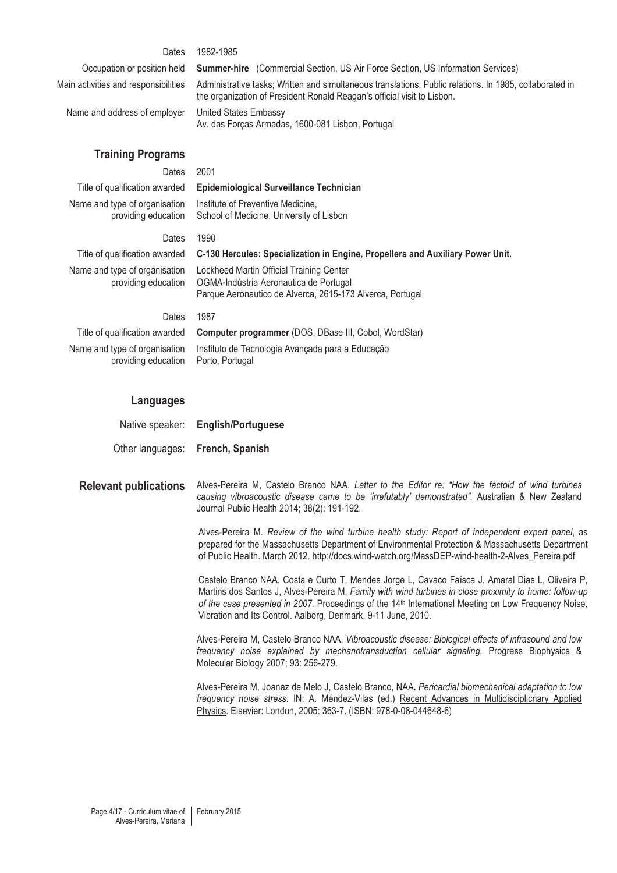#### Dates 1982-1985

Name and address of employer United States Embassy

Occupation or position held **Summer-hire** (Commercial Section, US Air Force Section, US Information Services)

Main activities and responsibilities Administrative tasks; Written and simultaneous translations; Public relations. In 1985, collaborated in the organization of President Ronald Reagan's official visit to Lisbon.

Av. das Forças Armadas, 1600-081 Lisbon, Portugal

# **Training Programs**

providing education

# Dates 2001

# Title of qualification awarded **Epidemiological Surveillance Technician**

Institute of Preventive Medicine, School of Medicine, University of Lisbon

# Dates 1990

Name and type of organisation providing education

Name and type of organisation

Title of qualification awarded **C-130 Hercules: Specialization in Engine, Propellers and Auxiliary Power Unit.** 

Lockheed Martin Official Training Center OGMA-Indústria Aeronautica de Portugal Parque Aeronautico de Alverca, 2615-173 Alverca, Portugal

#### Dates 1987

Name and type of organisation providing education

Title of qualification awarded **Computer programmer** (DOS, DBase III, Cobol, WordStar) Instituto de Tecnologia Avançada para a Educação Porto, Portugal

#### **Languages**

| Native speaker:  | <b>English/Portuguese</b> |
|------------------|---------------------------|
| Other languages: | French, Spanish           |

**Relevant publications** Alves-Pereira M, Castelo Branco NAA. *Letter to the Editor re: "How the factoid of wind turbines causing vibroacoustic disease came to be 'irrefutably' demonstrated".* Australian & New Zealand Journal Public Health 2014; 38(2): 191-192.

> Alves-Pereira M. *Review of the wind turbine health study: Report of independent expert panel*, as prepared for the Massachusetts Department of Environmental Protection & Massachusetts Department of Public Health. March 2012. http://docs.wind-watch.org/MassDEP-wind-health-2-Alves\_Pereira.pdf

> Castelo Branco NAA, Costa e Curto T, Mendes Jorge L, Cavaco Faísca J, Amaral Dias L, Oliveira P, Martins dos Santos J, Alves-Pereira M. *Family with wind turbines in close proximity to home: follow-up of the case presented in 2007.* Proceedings of the 14<sup>th</sup> International Meeting on Low Frequency Noise, Vibration and Its Control. Aalborg, Denmark, 9-11 June, 2010.

Alves-Pereira M, Castelo Branco NAA. *Vibroacoustic disease: Biological effects of infrasound and low frequency noise explained by mechanotransduction cellular signaling.* Progress Biophysics & Molecular Biology 2007; 93: 256-279.

Alves-Pereira M, Joanaz de Melo J, Castelo Branco, NAA**.** *Pericardial biomechanical adaptation to low frequency noise stress.* IN: A. Méndez-Vilas (ed.) Recent Advances in Multidisciplicnary Applied Physics. Elsevier: London, 2005: 363-7. (ISBN: 978-0-08-044648-6)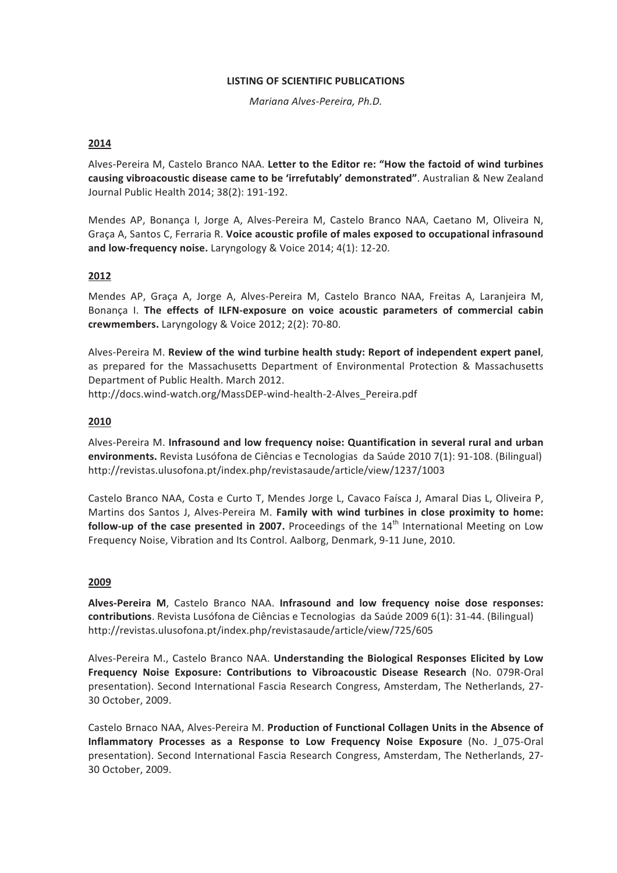# **LISTING OF SCIENTIFIC PUBLICATIONS**

Mariana Alves-Pereira, Ph.D.

# 2014

Alves-Pereira M, Castelo Branco NAA. Letter to the Editor re: "How the factoid of wind turbines causing vibroacoustic disease came to be 'irrefutably' demonstrated". Australian & New Zealand Journal Public Health 2014; 38(2): 191-192.

Mendes AP, Bonança I, Jorge A, Alves-Pereira M, Castelo Branco NAA, Caetano M, Oliveira N, Graça A, Santos C, Ferraria R. Voice acoustic profile of males exposed to occupational infrasound and low-frequency noise. Laryngology & Voice 2014; 4(1): 12-20.

# 2012

Mendes AP, Graça A, Jorge A, Alves-Pereira M, Castelo Branco NAA, Freitas A, Laranjeira M, Bonança I. The effects of ILFN-exposure on voice acoustic parameters of commercial cabin crewmembers. Laryngology & Voice 2012; 2(2): 70-80.

Alves-Pereira M. Review of the wind turbine health study: Report of independent expert panel, as prepared for the Massachusetts Department of Environmental Protection & Massachusetts Department of Public Health. March 2012.

http://docs.wind-watch.org/MassDEP-wind-health-2-Alves Pereira.pdf

# 2010

Alves-Pereira M. Infrasound and low frequency noise: Quantification in several rural and urban environments. Revista Lusófona de Ciências e Tecnologias da Saúde 2010 7(1): 91-108. (Bilingual) http://revistas.ulusofona.pt/index.php/revistasaude/article/view/1237/1003

Castelo Branco NAA, Costa e Curto T, Mendes Jorge L, Cavaco Faísca J, Amaral Dias L, Oliveira P, Martins dos Santos J, Alves-Pereira M. Family with wind turbines in close proximity to home: follow-up of the case presented in 2007. Proceedings of the  $14<sup>th</sup>$  International Meeting on Low Frequency Noise, Vibration and Its Control. Aalborg, Denmark, 9-11 June, 2010.

# 2009

Alves-Pereira M, Castelo Branco NAA. Infrasound and low frequency noise dose responses: contributions. Revista Lusófona de Ciências e Tecnologias da Saúde 2009 6(1): 31-44. (Bilingual) http://revistas.ulusofona.pt/index.php/revistasaude/article/view/725/605

Alves-Pereira M., Castelo Branco NAA. Understanding the Biological Responses Elicited by Low Frequency Noise Exposure: Contributions to Vibroacoustic Disease Research (No. 079R-Oral presentation). Second International Fascia Research Congress, Amsterdam, The Netherlands, 27-30 October, 2009.

Castelo Brnaco NAA, Alves-Pereira M. Production of Functional Collagen Units in the Absence of Inflammatory Processes as a Response to Low Frequency Noise Exposure (No. J 075-Oral presentation). Second International Fascia Research Congress, Amsterdam, The Netherlands, 27-30 October, 2009.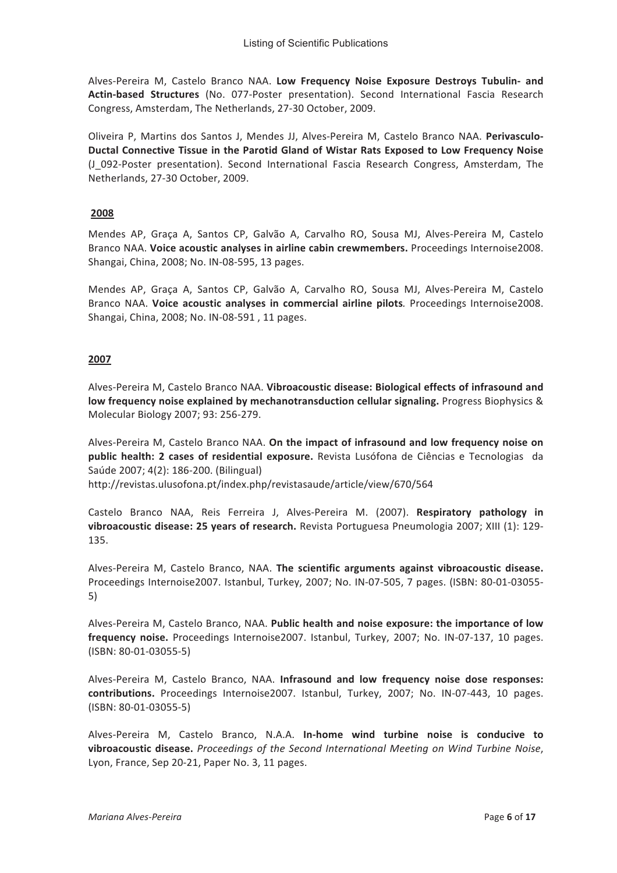Alves-Pereira M, Castelo Branco NAA. Low Frequency Noise Exposure Destroys Tubulin- and Actin-based Structures (No. 077-Poster presentation). Second International Fascia Research Congress, Amsterdam, The Netherlands, 27-30 October, 2009.

Oliveira P. Martins dos Santos J. Mendes JJ. Alves-Pereira M. Castelo Branco NAA. Perivasculo-Ductal Connective Tissue in the Parotid Gland of Wistar Rats Exposed to Low Frequency Noise (J\_092-Poster presentation). Second International Fascia Research Congress, Amsterdam, The Netherlands, 27-30 October, 2009.

# 2008

Mendes AP, Graça A, Santos CP, Galvão A, Carvalho RO, Sousa MJ, Alves-Pereira M, Castelo Branco NAA. Voice acoustic analyses in airline cabin crewmembers. Proceedings Internoise2008. Shangai, China, 2008; No. IN-08-595, 13 pages.

Mendes AP, Graça A, Santos CP, Galvão A, Carvalho RO, Sousa MJ, Alves-Pereira M, Castelo Branco NAA. Voice acoustic analyses in commercial airline pilots. Proceedings Internoise2008. Shangai, China, 2008; No. IN-08-591, 11 pages.

# 2007

Alves-Pereira M. Castelo Branco NAA. Vibroacoustic disease: Biological effects of infrasound and low frequency noise explained by mechanotransduction cellular signaling. Progress Biophysics & Molecular Biology 2007; 93: 256-279.

Alves-Pereira M, Castelo Branco NAA. On the impact of infrasound and low frequency noise on public health: 2 cases of residential exposure. Revista Lusófona de Ciências e Tecnologias da Saúde 2007; 4(2): 186-200. (Bilingual)

http://revistas.ulusofona.pt/index.php/revistasaude/article/view/670/564

Castelo Branco NAA, Reis Ferreira J, Alves-Pereira M. (2007). Respiratory pathology in vibroacoustic disease: 25 years of research. Revista Portuguesa Pneumologia 2007; XIII (1): 129-135.

Alves-Pereira M, Castelo Branco, NAA. The scientific arguments against vibroacoustic disease. Proceedings Internoise2007. Istanbul, Turkey, 2007; No. IN-07-505, 7 pages. (ISBN: 80-01-03055- $5)$ 

Alves-Pereira M, Castelo Branco, NAA. Public health and noise exposure: the importance of low frequency noise. Proceedings Internoise2007. Istanbul, Turkey, 2007; No. IN-07-137, 10 pages. (ISBN: 80-01-03055-5)

Alves-Pereira M, Castelo Branco, NAA. Infrasound and low frequency noise dose responses: contributions. Proceedings Internoise2007. Istanbul, Turkey, 2007; No. IN-07-443, 10 pages.  $(ISBN: 80-01-03055-5)$ 

Alves-Pereira M, Castelo Branco, N.A.A. In-home wind turbine noise is conducive to vibroacoustic disease. Proceedings of the Second International Meeting on Wind Turbine Noise, Lyon, France, Sep 20-21, Paper No. 3, 11 pages.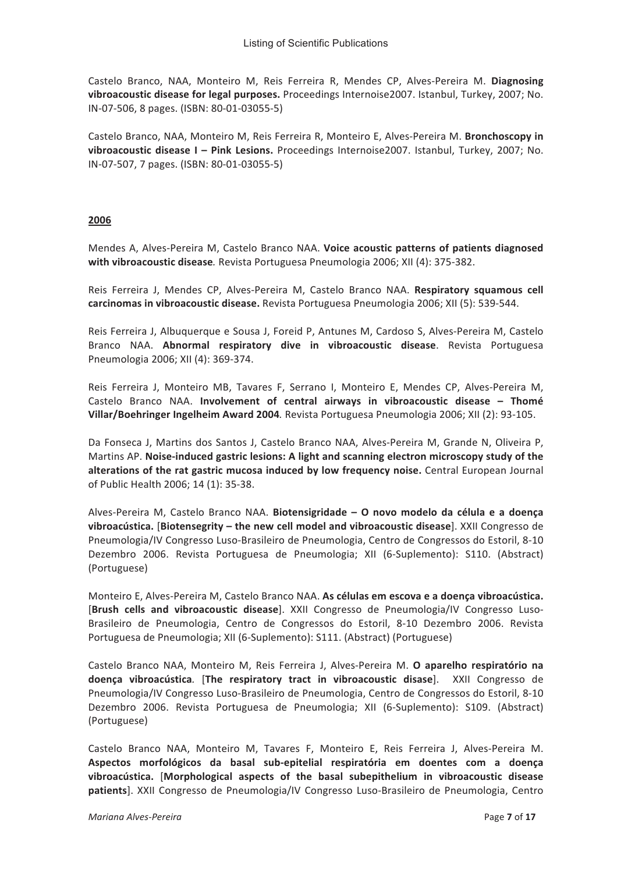Castelo Branco, NAA, Monteiro M, Reis Ferreira R, Mendes CP, Alves-Pereira M. Diagnosing vibroacoustic disease for legal purposes. Proceedings Internoise2007. Istanbul, Turkey, 2007; No. IN-07-506, 8 pages. (ISBN: 80-01-03055-5)

Castelo Branco, NAA, Monteiro M, Reis Ferreira R, Monteiro E, Alves-Pereira M, **Bronchoscopy in** vibroacoustic disease I - Pink Lesions. Proceedings Internoise2007. Istanbul, Turkey, 2007; No. IN-07-507, 7 pages. (ISBN: 80-01-03055-5)

# **011Z**

Mendes A, Alves-Pereira M, Castelo Branco NAA. Voice acoustic patterns of patients diagnosed  $with vibrogcoustic disease$ . Revista Portuguesa Pneumologia 2006; XII (4): 375-382.

Reis Ferreira J, Mendes CP, Alves-Pereira M, Castelo Branco NAA. Respiratory squamous cell carcinomas in vibroacoustic disease. Revista Portuguesa Pneumologia 2006; XII (5): 539-544.

Reis Ferreira J, Albuquerque e Sousa J, Foreid P, Antunes M, Cardoso S, Alves-Pereira M, Castelo Branco NAA. **Abnormal respiratory dive in vibroacoustic disease**. Revista Portuguesa Pneumologia 2006; XII (4): 369-374.

Reis Ferreira J. Monteiro MB. Tavares F. Serrano I. Monteiro E. Mendes CP. Alves-Pereira M. Castelo Branco NAA. Involvement of central airways in vibroacoustic disease - Thomé **Villar/Boehringer Ingelheim Award 2004**. Revista Portuguesa Pneumologia 2006: XII (2): 93-105.

Da Fonseca J, Martins dos Santos J, Castelo Branco NAA, Alves-Pereira M, Grande N, Oliveira P, Martins AP. Noise-induced gastric lesions: A light and scanning electron microscopy study of the **alterations of the rat gastric mucosa induced by low frequency noise.** Central European Journal of Public Health 2006; 14 (1): 35-38.

Alves-Pereira M, Castelo Branco NAA. Biotensigridade - O novo modelo da célula e a doença vibroacústica. [Biotensegrity - the new cell model and vibroacoustic disease]. XXII Congresso de Pneumologia/IV Congresso Luso-Brasileiro de Pneumologia, Centro de Congressos do Estoril, 8-10 Dezembro 2006. Revista Portuguesa de Pneumologia; XII (6-Suplemento): S110. (Abstract) (Portuguese)

Monteiro E, Alves-Pereira M, Castelo Branco NAA. As células em escova e a doença vibroacústica. [Brush cells and vibroacoustic disease]. XXII Congresso de Pneumologia/IV Congresso Luso-Brasileiro de Pneumologia, Centro de Congressos do Estoril, 8-10 Dezembro 2006. Revista Portuguesa de Pneumologia; XII (6-Suplemento): S111. (Abstract) (Portuguese)

Castelo Branco NAA. Monteiro M. Reis Ferreira J. Alves-Pereira M. O aparelho respiratório na doença vibroacústica. [The respiratory tract in vibroacoustic disase]. XXII Congresso de Pneumologia/IV Congresso Luso-Brasileiro de Pneumologia, Centro de Congressos do Estoril, 8-10 Dezembro 2006. Revista Portuguesa de Pneumologia; XII (6-Suplemento): S109. (Abstract) (Portuguese)

Castelo Branco NAA, Monteiro M, Tavares F, Monteiro E, Reis Ferreira J, Alves-Pereira M. Aspectos morfológicos da basal sub-epitelial respiratória em doentes com a doença vibroacústica. [Morphological aspects of the basal subepithelium in vibroacoustic disease patients]. XXII Congresso de Pneumologia/IV Congresso Luso-Brasileiro de Pneumologia, Centro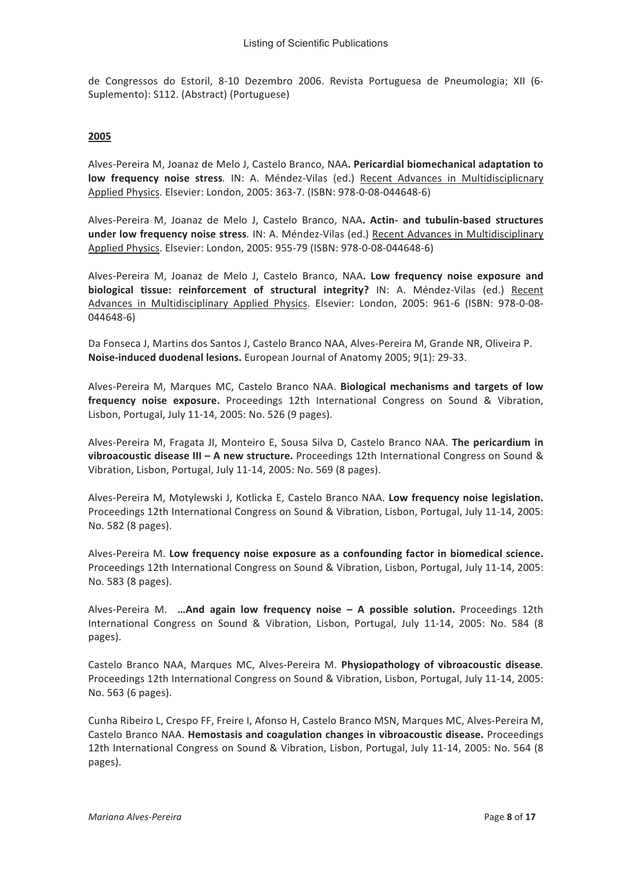de Congressos do Estoril, 8-10 Dezembro 2006. Revista Portuguesa de Pneumologia; XII (6-Suplemento): S112. (Abstract) (Portuguese)

#### 2005

Alves-Pereira M, Joanaz de Melo J, Castelo Branco, NAA. Pericardial biomechanical adaptation to low frequency noise stress. IN: A. Méndez-Vilas (ed.) Recent Advances in Multidisciplicnary Applied Physics. Elsevier: London, 2005: 363-7. (ISBN: 978-0-08-044648-6)

Alves-Pereira M, Joanaz de Melo J, Castelo Branco, NAA. Actin- and tubulin-based structures under low frequency noise stress. IN: A. Méndez-Vilas (ed.) Recent Advances in Multidisciplinary Applied Physics. Elsevier: London, 2005: 955-79 (ISBN: 978-0-08-044648-6)

Alves-Pereira M, Joanaz de Melo J, Castelo Branco, NAA. Low frequency noise exposure and biological tissue: reinforcement of structural integrity? IN: A. Méndez-Vilas (ed.) Recent Advances in Multidisciplinary Applied Physics. Elsevier: London, 2005: 961-6 (ISBN: 978-0-08- $044648-6$ 

Da Fonseca J, Martins dos Santos J, Castelo Branco NAA, Alves-Pereira M, Grande NR, Oliveira P. Noise-induced duodenal lesions. European Journal of Anatomy 2005; 9(1): 29-33.

Alves-Pereira M, Marques MC, Castelo Branco NAA. Biological mechanisms and targets of low frequency noise exposure. Proceedings 12th International Congress on Sound & Vibration, Lisbon, Portugal, July 11-14, 2005: No. 526 (9 pages).

Alves-Pereira M, Fragata JI, Monteiro E, Sousa Silva D, Castelo Branco NAA. The pericardium in vibroacoustic disease III - A new structure. Proceedings 12th International Congress on Sound & Vibration, Lisbon, Portugal, July 11-14, 2005: No. 569 (8 pages).

Alves-Pereira M, Motylewski J, Kotlicka E, Castelo Branco NAA. Low frequency noise legislation. Proceedings 12th International Congress on Sound & Vibration, Lisbon, Portugal, July 11-14, 2005: No. 582 (8 pages).

Alves-Pereira M. Low frequency noise exposure as a confounding factor in biomedical science. Proceedings 12th International Congress on Sound & Vibration, Lisbon, Portugal, July 11-14, 2005: No. 583 (8 pages).

Alves-Pereira M. ... And again low frequency noise - A possible solution. Proceedings 12th International Congress on Sound & Vibration, Lisbon, Portugal, July 11-14, 2005: No. 584 (8) pages).

Castelo Branco NAA, Marques MC, Alves-Pereira M. Physiopathology of vibroacoustic disease. Proceedings 12th International Congress on Sound & Vibration, Lisbon, Portugal, July 11-14, 2005: No. 563 (6 pages).

Cunha Ribeiro L, Crespo FF, Freire I, Afonso H, Castelo Branco MSN, Marques MC, Alves-Pereira M, Castelo Branco NAA. Hemostasis and coagulation changes in vibroacoustic disease. Proceedings 12th International Congress on Sound & Vibration, Lisbon, Portugal, July 11-14, 2005: No. 564 (8) pages).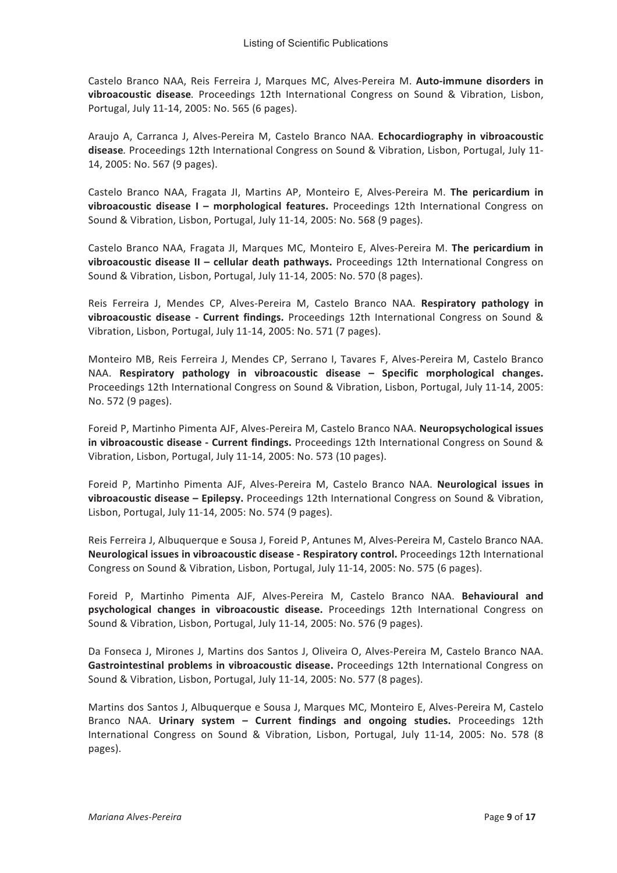Castelo Branco NAA, Reis Ferreira J, Marques MC, Alves-Pereira M. Auto-immune disorders in vibroacoustic disease. Proceedings 12th International Congress on Sound & Vibration, Lisbon, Portugal, July 11-14, 2005: No. 565 (6 pages).

Araujo A. Carranca J. Alves-Pereira M. Castelo Branco NAA. Echocardiography in vibroacoustic disease. Proceedings 12th International Congress on Sound & Vibration, Lisbon, Portugal, July 11-14, 2005: No. 567 (9 pages).

Castelo Branco NAA, Fragata JI, Martins AP, Monteiro E, Alves-Pereira M. The pericardium in vibroacoustic disease I - morphological features. Proceedings 12th International Congress on Sound & Vibration, Lisbon, Portugal, July 11-14, 2005: No. 568 (9 pages).

Castelo Branco NAA, Fragata JI, Marques MC, Monteiro E, Alves-Pereira M. The pericardium in vibroacoustic disease II - cellular death pathways. Proceedings 12th International Congress on Sound & Vibration, Lisbon, Portugal, July 11-14, 2005: No. 570 (8 pages).

Reis Ferreira J, Mendes CP, Alves-Pereira M, Castelo Branco NAA. Respiratory pathology in vibroacoustic disease - Current findings. Proceedings 12th International Congress on Sound & Vibration, Lisbon, Portugal, July 11-14, 2005: No. 571 (7 pages).

Monteiro MB, Reis Ferreira J, Mendes CP, Serrano I, Tavares F, Alves-Pereira M, Castelo Branco NAA. Respiratory pathology in vibroacoustic disease - Specific morphological changes. Proceedings 12th International Congress on Sound & Vibration, Lisbon, Portugal, July 11-14, 2005: No. 572 (9 pages).

Foreid P, Martinho Pimenta AJF, Alves-Pereira M, Castelo Branco NAA. Neuropsychological issues in vibroacoustic disease - Current findings. Proceedings 12th International Congress on Sound & Vibration, Lisbon, Portugal, July 11-14, 2005: No. 573 (10 pages).

Foreid P, Martinho Pimenta AJF, Alves-Pereira M, Castelo Branco NAA. Neurological issues in vibroacoustic disease - Epilepsy. Proceedings 12th International Congress on Sound & Vibration, Lisbon, Portugal, July 11-14, 2005: No. 574 (9 pages).

Reis Ferreira J. Albuquerque e Sousa J. Foreid P. Antunes M. Alves-Pereira M. Castelo Branco NAA. Neurological issues in vibroacoustic disease - Respiratory control. Proceedings 12th International Congress on Sound & Vibration, Lisbon, Portugal, July 11-14, 2005: No. 575 (6 pages).

Foreid P, Martinho Pimenta AJF, Alves-Pereira M, Castelo Branco NAA. Behavioural and psychological changes in vibroacoustic disease. Proceedings 12th International Congress on Sound & Vibration, Lisbon, Portugal, July 11-14, 2005: No. 576 (9 pages).

Da Fonseca J, Mirones J, Martins dos Santos J, Oliveira O, Alves-Pereira M, Castelo Branco NAA. Gastrointestinal problems in vibroacoustic disease. Proceedings 12th International Congress on Sound & Vibration, Lisbon, Portugal, July 11-14, 2005: No. 577 (8 pages).

Martins dos Santos J, Albuquerque e Sousa J, Marques MC, Monteiro E, Alves-Pereira M, Castelo Branco NAA. Urinary system - Current findings and ongoing studies. Proceedings 12th International Congress on Sound & Vibration, Lisbon, Portugal, July 11-14, 2005: No. 578 (8 pages).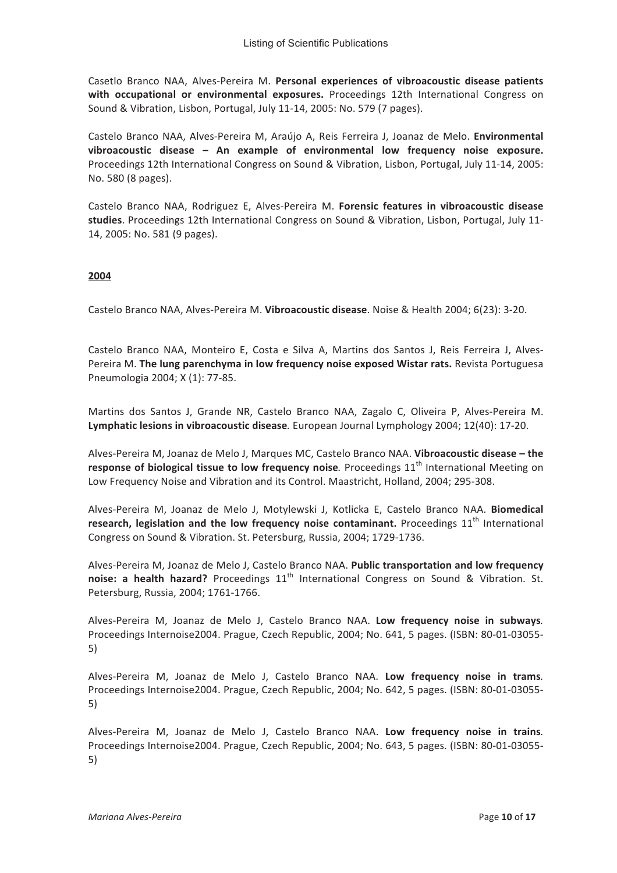Casetlo Branco NAA, Alves-Pereira M. Personal experiences of vibroacoustic disease patients  $with$  occupational or environmental exposures. Proceedings 12th International Congress on Sound & Vibration, Lisbon, Portugal, July 11-14, 2005: No. 579 (7 pages).

Castelo Branco NAA, Alves-Pereira M, Araújo A, Reis Ferreira J, Joanaz de Melo. Environmental vibroacoustic disease - An example of environmental low frequency noise exposure. Proceedings 12th International Congress on Sound & Vibration, Lisbon, Portugal, July 11-14, 2005: No. 580 (8 pages).

Castelo Branco NAA, Rodriguez E, Alves-Pereira M. Forensic features in vibroacoustic disease studies. Proceedings 12th International Congress on Sound & Vibration, Lisbon, Portugal, July 11-14, 2005: No. 581 (9 pages).

# **2004**

Castelo Branco NAA, Alves-Pereira M. Vibroacoustic disease. Noise & Health 2004; 6(23): 3-20.

Castelo Branco NAA, Monteiro E, Costa e Silva A, Martins dos Santos J, Reis Ferreira J, Alves-Pereira M. The lung parenchyma in low frequency noise exposed Wistar rats. Revista Portuguesa Pneumologia 2004; X (1): 77-85.

Martins dos Santos J, Grande NR, Castelo Branco NAA, Zagalo C, Oliveira P, Alves-Pereira M. Lymphatic lesions in vibroacoustic disease. European Journal Lymphology 2004; 12(40): 17-20.

Alves-Pereira M, Joanaz de Melo J, Marques MC, Castelo Branco NAA. Vibroacoustic disease - the response of biological tissue to low frequency noise. Proceedings 11<sup>th</sup> International Meeting on Low Frequency Noise and Vibration and its Control. Maastricht, Holland, 2004; 295-308.

Alves-Pereira M, Joanaz de Melo J, Motylewski J, Kotlicka E, Castelo Branco NAA. Biomedical research, legislation and the low frequency noise contaminant. Proceedings 11<sup>th</sup> International Congress on Sound & Vibration. St. Petersburg, Russia, 2004; 1729-1736.

Alves-Pereira M. Joanaz de Melo J. Castelo Branco NAA. Public transportation and low frequency **Briggleries:** a health hazard? Proceedings  $11<sup>th</sup>$  International Congress on Sound & Vibration. St. Petersburg, Russia, 2004; 1761-1766.

Alves-Pereira M, Joanaz de Melo J, Castelo Branco NAA. Low frequency noise in subways. Proceedings Internoise2004. Prague, Czech Republic, 2004; No. 641, 5 pages. (ISBN: 80-01-03055- $5)$ 

Alves-Pereira M, Joanaz de Melo J, Castelo Branco NAA. Low frequency noise in trams. Proceedings Internoise2004. Prague, Czech Republic, 2004; No. 642, 5 pages. (ISBN: 80-01-03055- $\vert$ 5)

Alves-Pereira M, Joanaz de Melo J, Castelo Branco NAA. Low frequency noise in trains. Proceedings Internoise2004. Prague, Czech Republic, 2004; No. 643, 5 pages. (ISBN: 80-01-03055- $5)$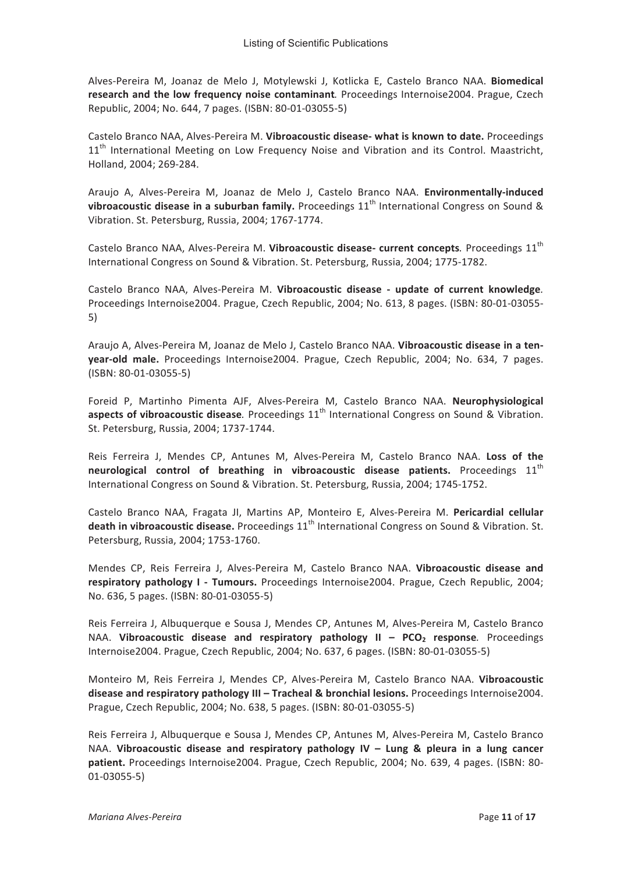Alves-Pereira M, Joanaz de Melo J, Motylewski J, Kotlicka E, Castelo Branco NAA. Biomedical research and the low frequency noise contaminant. Proceedings Internoise2004. Prague, Czech Republic, 2004; No. 644, 7 pages. (ISBN: 80-01-03055-5)

Castelo Branco NAA. Alves-Pereira M. Vibroacoustic disease- what is known to date. Proceedings 11<sup>th</sup> International Meeting on Low Frequency Noise and Vibration and its Control. Maastricht, Holland, 2004; 269-284.

Araujo A, Alves-Pereira M, Joanaz de Melo J, Castelo Branco NAA. Environmentally-induced vibroacoustic disease in a suburban family. Proceedings  $11<sup>th</sup>$  International Congress on Sound & Vibration. St. Petersburg, Russia, 2004; 1767-1774.

Castelo Branco NAA, Alves-Pereira M. Vibroacoustic disease- current concepts. Proceedings 11<sup>th</sup> International Congress on Sound & Vibration. St. Petersburg, Russia, 2004; 1775-1782.

Castelo Branco NAA, Alves-Pereira M. Vibroacoustic disease - update of current knowledge. Proceedings Internoise2004. Prague, Czech Republic, 2004; No. 613, 8 pages. (ISBN: 80-01-03055- $5)$ 

Araujo A, Alves-Pereira M, Joanaz de Melo J, Castelo Branco NAA. Vibroacoustic disease in a tenyear-old male. Proceedings Internoise2004. Prague, Czech Republic, 2004; No. 634, 7 pages.  $(ISBN: 80-01-03055-5)$ 

Foreid P, Martinho Pimenta AJF, Alves-Pereira M, Castelo Branco NAA. Neurophysiological aspects of vibroacoustic disease. Proceedings  $11<sup>th</sup>$  International Congress on Sound & Vibration. St. Petersburg, Russia, 2004; 1737-1744.

Reis Ferreira J, Mendes CP, Antunes M, Alves-Pereira M, Castelo Branco NAA. Loss of the neurological control of breathing in vibroacoustic disease patients. Proceedings 11<sup>th</sup> International Congress on Sound & Vibration. St. Petersburg, Russia, 2004; 1745-1752.

Castelo Branco NAA, Fragata JI, Martins AP, Monteiro E, Alves-Pereira M. Pericardial cellular death in vibroacoustic disease. Proceedings 11<sup>th</sup> International Congress on Sound & Vibration. St. Petersburg, Russia, 2004; 1753-1760.

Mendes CP, Reis Ferreira J, Alves-Pereira M, Castelo Branco NAA. Vibroacoustic disease and respiratory pathology I - Tumours. Proceedings Internoise2004. Prague, Czech Republic, 2004; No. 636, 5 pages. (ISBN: 80-01-03055-5)

Reis Ferreira J, Albuquerque e Sousa J, Mendes CP, Antunes M, Alves-Pereira M, Castelo Branco NAA. Vibroacoustic disease and respiratory pathology  $II - PCO<sub>2</sub>$  response. Proceedings Internoise2004. Prague, Czech Republic, 2004; No. 637, 6 pages. (ISBN: 80-01-03055-5)

Monteiro M, Reis Ferreira J, Mendes CP, Alves-Pereira M, Castelo Branco NAA. Vibroacoustic disease and respiratory pathology III - Tracheal & bronchial lesions. Proceedings Internoise2004. Prague, Czech Republic, 2004; No. 638, 5 pages. (ISBN: 80-01-03055-5)

Reis Ferreira J, Albuquerque e Sousa J, Mendes CP, Antunes M, Alves-Pereira M, Castelo Branco NAA. Vibroacoustic disease and respiratory pathology IV - Lung & pleura in a lung cancer patient. Proceedings Internoise2004. Prague, Czech Republic, 2004; No. 639, 4 pages. (ISBN: 80- $01-03055-5)$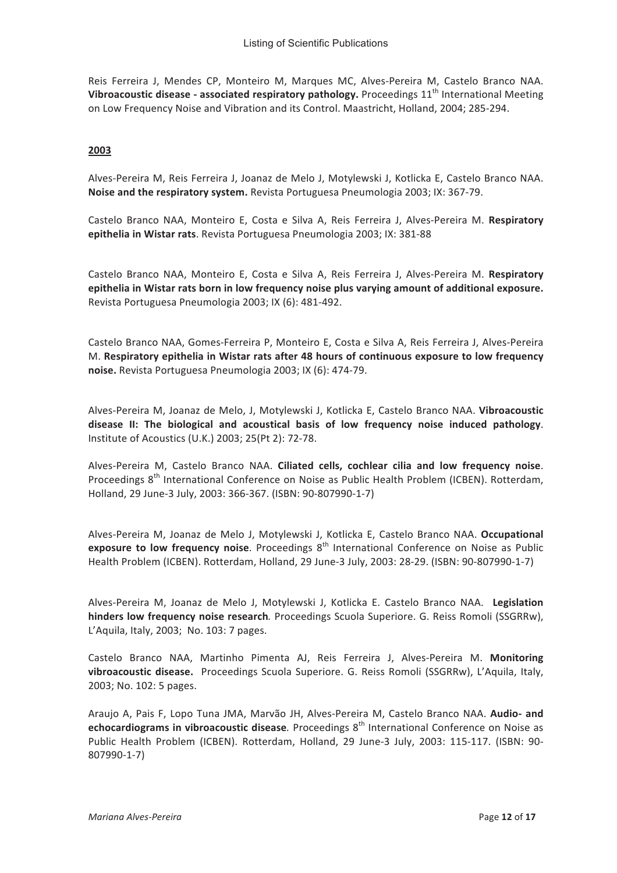Reis Ferreira J, Mendes CP, Monteiro M, Marques MC, Alves-Pereira M, Castelo Branco NAA. Vibroacoustic disease - associated respiratory pathology. Proceedings 11<sup>th</sup> International Meeting on Low Frequency Noise and Vibration and its Control. Maastricht, Holland, 2004; 285-294.

# 2003

Alves-Pereira M, Reis Ferreira J, Joanaz de Melo J, Motylewski J, Kotlicka E, Castelo Branco NAA. Noise and the respiratory system. Revista Portuguesa Pneumologia 2003; IX: 367-79.

Castelo Branco NAA, Monteiro E, Costa e Silva A, Reis Ferreira J, Alves-Pereira M. Respiratory epithelia in Wistar rats. Revista Portuguesa Pneumologia 2003; IX: 381-88

Castelo Branco NAA, Monteiro E, Costa e Silva A, Reis Ferreira J, Alves-Pereira M. Respiratory epithelia in Wistar rats born in low frequency noise plus varying amount of additional exposure. Revista Portuguesa Pneumologia 2003; IX (6): 481-492.

Castelo Branco NAA, Gomes-Ferreira P, Monteiro E, Costa e Silva A, Reis Ferreira J, Alves-Pereira M. Respiratory epithelia in Wistar rats after 48 hours of continuous exposure to low frequency noise. Revista Portuguesa Pneumologia 2003; IX (6): 474-79.

Alves-Pereira M, Joanaz de Melo, J, Motylewski J, Kotlicka E, Castelo Branco NAA. Vibroacoustic disease II: The biological and acoustical basis of low frequency noise induced pathology. Institute of Acoustics (U.K.) 2003; 25(Pt 2): 72-78.

Alves-Pereira M, Castelo Branco NAA. Ciliated cells, cochlear cilia and low frequency noise. Proceedings 8<sup>th</sup> International Conference on Noise as Public Health Problem (ICBEN). Rotterdam, Holland, 29 June-3 July, 2003: 366-367. (ISBN: 90-807990-1-7)

Alves-Pereira M, Joanaz de Melo J, Motylewski J, Kotlicka E, Castelo Branco NAA. Occupational exposure to low frequency noise. Proceedings 8<sup>th</sup> International Conference on Noise as Public Health Problem (ICBEN). Rotterdam, Holland, 29 June-3 July, 2003: 28-29. (ISBN: 90-807990-1-7)

Alves-Pereira M, Joanaz de Melo J, Motylewski J, Kotlicka E. Castelo Branco NAA. Legislation hinders low frequency noise research. Proceedings Scuola Superiore. G. Reiss Romoli (SSGRRw), L'Aquila, Italy, 2003; No. 103: 7 pages.

Castelo Branco NAA, Martinho Pimenta AJ, Reis Ferreira J, Alves-Pereira M. Monitoring vibroacoustic disease. Proceedings Scuola Superiore. G. Reiss Romoli (SSGRRw), L'Aquila, Italy, 2003; No. 102: 5 pages.

Araujo A, Pais F, Lopo Tuna JMA, Marvão JH, Alves-Pereira M, Castelo Branco NAA. Audio- and echocardiograms in vibroacoustic disease. Proceedings 8<sup>th</sup> International Conference on Noise as Public Health Problem (ICBEN). Rotterdam, Holland, 29 June-3 July, 2003: 115-117. (ISBN: 90-807990-1-7)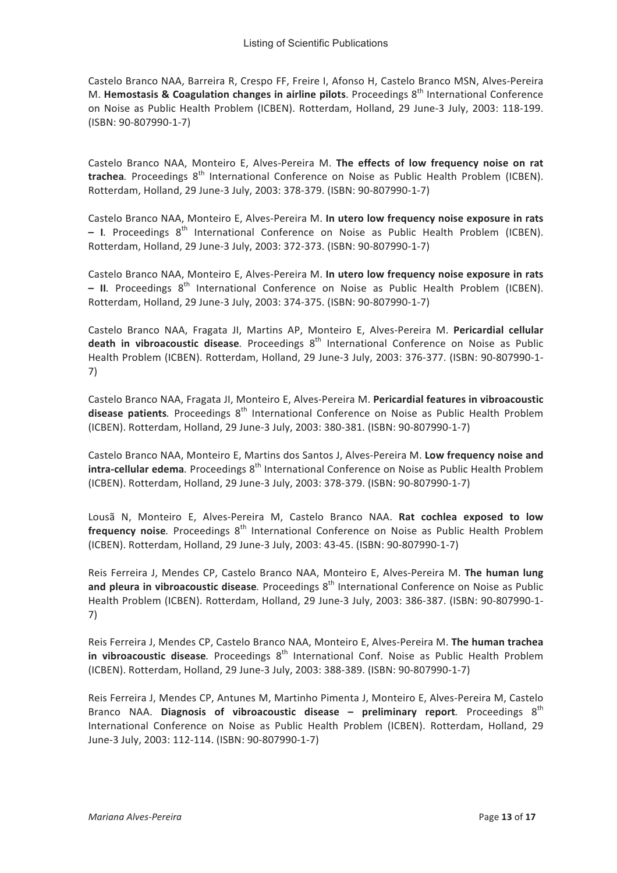Castelo Branco NAA, Barreira R, Crespo FF, Freire I, Afonso H, Castelo Branco MSN, Alves-Pereira M. Hemostasis & Coagulation changes in airline pilots. Proceedings 8<sup>th</sup> International Conference on Noise as Public Health Problem (ICBEN). Rotterdam, Holland, 29 June-3 July, 2003: 118-199. (ISBN: 90-807990-1-7)

Castelo Branco NAA, Monteiro E, Alves-Pereira M. The effects of low frequency noise on rat trachea. Proceedings 8<sup>th</sup> International Conference on Noise as Public Health Problem (ICBEN). Rotterdam, Holland, 29 June-3 July, 2003: 378-379. (ISBN: 90-807990-1-7)

Castelo Branco NAA, Monteiro E, Alves-Pereira M. In utero low frequency noise exposure in rats - I. Proceedings 8<sup>th</sup> International Conference on Noise as Public Health Problem (ICBEN). Rotterdam, Holland, 29 June-3 July, 2003: 372-373. (ISBN: 90-807990-1-7)

Castelo Branco NAA, Monteiro E, Alves-Pereira M. In utero low frequency noise exposure in rats - II. Proceedings  $8^{th}$  International Conference on Noise as Public Health Problem (ICBEN). Rotterdam, Holland, 29 June-3 July, 2003: 374-375. (ISBN: 90-807990-1-7)

Castelo Branco NAA, Fragata JI, Martins AP, Monteiro E, Alves-Pereira M. Pericardial cellular death in vibroacoustic disease. Proceedings 8<sup>th</sup> International Conference on Noise as Public Health Problem (ICBEN). Rotterdam, Holland, 29 June-3 July, 2003: 376-377. (ISBN: 90-807990-1- $7)$ 

Castelo Branco NAA, Fragata JI, Monteiro E, Alves-Pereira M. Pericardial features in vibroacoustic **disease patients**. Proceedings 8<sup>th</sup> International Conference on Noise as Public Health Problem (ICBEN). Rotterdam, Holland, 29 June-3 July, 2003: 380-381. (ISBN: 90-807990-1-7)

Castelo Branco NAA, Monteiro E, Martins dos Santos J, Alves-Pereira M. Low frequency noise and intra-cellular edema. Proceedings 8<sup>th</sup> International Conference on Noise as Public Health Problem (ICBEN). Rotterdam, Holland, 29 June-3 July, 2003: 378-379. (ISBN: 90-807990-1-7)

Lousã N, Monteiro E, Alves-Pereira M, Castelo Branco NAA. Rat cochlea exposed to low frequency noise. Proceedings 8<sup>th</sup> International Conference on Noise as Public Health Problem (ICBEN). Rotterdam, Holland, 29 June-3 July, 2003: 43-45. (ISBN: 90-807990-1-7)

Reis Ferreira J, Mendes CP, Castelo Branco NAA, Monteiro E, Alves-Pereira M. The human lung and pleura in vibroacoustic disease. Proceedings 8<sup>th</sup> International Conference on Noise as Public Health Problem (ICBEN). Rotterdam, Holland, 29 June-3 July, 2003: 386-387. (ISBN: 90-807990-1-7)

Reis Ferreira J, Mendes CP, Castelo Branco NAA, Monteiro E, Alves-Pereira M. The human trachea in vibroacoustic disease. Proceedings 8<sup>th</sup> International Conf. Noise as Public Health Problem (ICBEN). Rotterdam, Holland, 29 June-3 July, 2003: 388-389. (ISBN: 90-807990-1-7)

Reis Ferreira J, Mendes CP, Antunes M, Martinho Pimenta J, Monteiro E, Alves-Pereira M, Castelo Branco NAA. Diagnosis of vibroacoustic disease - preliminary report. Proceedings  $8<sup>th</sup>$ International Conference on Noise as Public Health Problem (ICBEN). Rotterdam, Holland, 29 June-3 July, 2003: 112-114. (ISBN: 90-807990-1-7)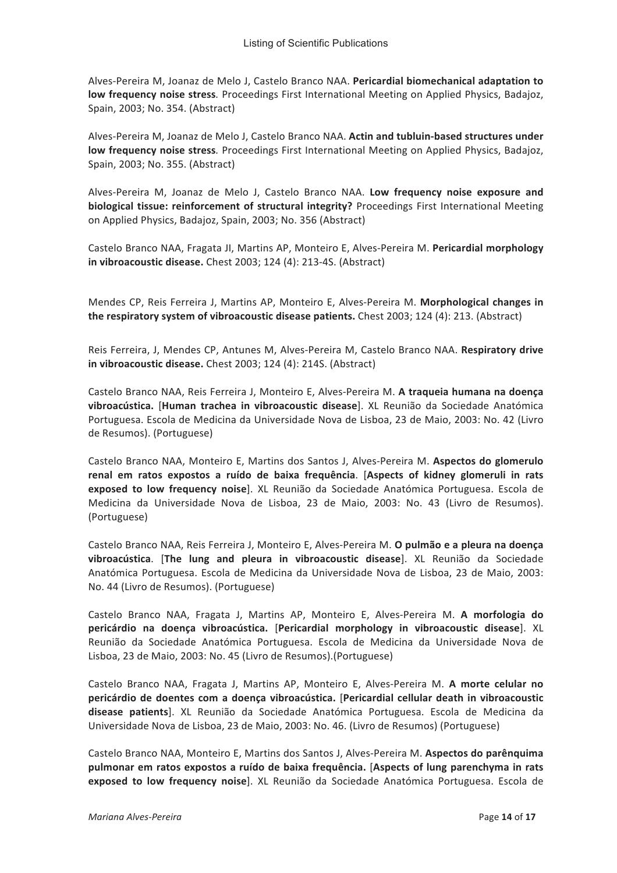Alves-Pereira M, Joanaz de Melo J, Castelo Branco NAA. Pericardial biomechanical adaptation to low frequency noise stress. Proceedings First International Meeting on Applied Physics, Badajoz, Spain, 2003; No. 354. (Abstract)

Alves-Pereira M. Joanaz de Melo J. Castelo Branco NAA. Actin and tubluin-based structures under low frequency noise stress. Proceedings First International Meeting on Applied Physics, Badajoz, Spain, 2003; No. 355. (Abstract)

Alves-Pereira M, Joanaz de Melo J, Castelo Branco NAA. Low frequency noise exposure and biological tissue: reinforcement of structural integrity? Proceedings First International Meeting on Applied Physics, Badajoz, Spain, 2003; No. 356 (Abstract)

Castelo Branco NAA, Fragata JI, Martins AP, Monteiro E, Alves-Pereira M. Pericardial morphology in vibroacoustic disease. Chest 2003; 124 (4): 213-4S. (Abstract)

Mendes CP, Reis Ferreira J, Martins AP, Monteiro E, Alves-Pereira M. Morphological changes in the respiratory system of vibroacoustic disease patients. Chest 2003; 124 (4): 213. (Abstract)

Reis Ferreira, J, Mendes CP, Antunes M, Alves-Pereira M, Castelo Branco NAA. Respiratory drive in vibroacoustic disease. Chest 2003; 124 (4): 214S. (Abstract)

Castelo Branco NAA, Reis Ferreira J, Monteiro E, Alves-Pereira M. A traqueia humana na doença vibroacústica. [Human trachea in vibroacoustic disease]. XL Reunião da Sociedade Anatómica Portuguesa. Escola de Medicina da Universidade Nova de Lisboa, 23 de Maio, 2003: No. 42 (Livro de Resumos). (Portuguese)

Castelo Branco NAA, Monteiro E, Martins dos Santos J, Alves-Pereira M. Aspectos do glomerulo renal em ratos expostos a ruído de baixa frequência. [Aspects of kidney glomeruli in rats exposed to low frequency noise]. XL Reunião da Sociedade Anatómica Portuguesa. Escola de Medicina da Universidade Nova de Lisboa, 23 de Maio, 2003: No. 43 (Livro de Resumos). (Portuguese)

Castelo Branco NAA, Reis Ferreira J, Monteiro E, Alves-Pereira M. O pulmão e a pleura na doença vibroacústica. [The lung and pleura in vibroacoustic disease]. XL Reunião da Sociedade Anatómica Portuguesa. Escola de Medicina da Universidade Nova de Lisboa, 23 de Maio, 2003: No. 44 (Livro de Resumos). (Portuguese)

Castelo Branco NAA, Fragata J, Martins AP, Monteiro E, Alves-Pereira M. A morfologia do pericárdio na doença vibroacústica. [Pericardial morphology in vibroacoustic disease]. XL Reunião da Sociedade Anatómica Portuguesa. Escola de Medicina da Universidade Nova de Lisboa, 23 de Maio, 2003: No. 45 (Livro de Resumos). (Portuguese)

Castelo Branco NAA, Fragata J, Martins AP, Monteiro E, Alves-Pereira M. A morte celular no pericárdio de doentes com a doença vibroacústica. [Pericardial cellular death in vibroacoustic disease patients]. XL Reunião da Sociedade Anatómica Portuguesa. Escola de Medicina da Universidade Nova de Lisboa, 23 de Maio, 2003: No. 46. (Livro de Resumos) (Portuguese)

Castelo Branco NAA, Monteiro E, Martins dos Santos J, Alves-Pereira M. Aspectos do parênquima pulmonar em ratos expostos a ruído de baixa freguência. [Aspects of lung parenchyma in rats exposed to low frequency noise]. XL Reunião da Sociedade Anatómica Portuguesa. Escola de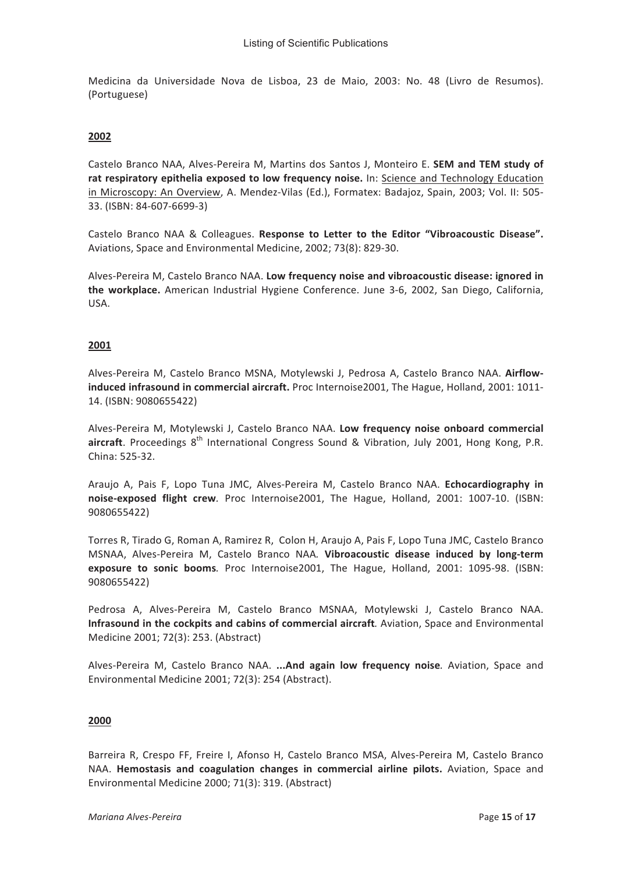Medicina da Universidade Nova de Lisboa, 23 de Maio, 2003: No. 48 (Livro de Resumos). (Portuguese)

#### 2002

Castelo Branco NAA, Alves-Pereira M, Martins dos Santos J, Monteiro E. SEM and TEM study of rat respiratory epithelia exposed to low frequency noise. In: Science and Technology Education in Microscopy: An Overview, A. Mendez-Vilas (Ed.), Formatex: Badajoz, Spain, 2003; Vol. II: 505-33. (ISBN: 84-607-6699-3)

Castelo Branco NAA & Colleagues. Response to Letter to the Editor "Vibroacoustic Disease". Aviations, Space and Environmental Medicine, 2002; 73(8): 829-30.

Alves-Pereira M, Castelo Branco NAA. Low frequency noise and vibroacoustic disease: ignored in the workplace. American Industrial Hygiene Conference. June 3-6, 2002, San Diego, California, USA.

# 2001

Alves-Pereira M, Castelo Branco MSNA, Motylewski J, Pedrosa A, Castelo Branco NAA. Airflowinduced infrasound in commercial aircraft. Proc Internoise2001, The Hague, Holland, 2001: 1011-14. (ISBN: 9080655422)

Alves-Pereira M, Motylewski J, Castelo Branco NAA. Low frequency noise onboard commercial aircraft. Proceedings 8<sup>th</sup> International Congress Sound & Vibration, July 2001, Hong Kong, P.R. China: 525-32.

Araujo A, Pais F, Lopo Tuna JMC, Alves-Pereira M, Castelo Branco NAA. Echocardiography in noise-exposed flight crew. Proc Internoise2001, The Hague, Holland, 2001: 1007-10. (ISBN: 9080655422)

Torres R. Tirado G. Roman A. Ramirez R. Colon H. Araujo A. Pais F. Lopo Tuna JMC. Castelo Branco MSNAA, Alves-Pereira M, Castelo Branco NAA. Vibroacoustic disease induced by long-term exposure to sonic booms. Proc Internoise2001, The Hague, Holland, 2001: 1095-98. (ISBN: 9080655422)

Pedrosa A, Alves-Pereira M, Castelo Branco MSNAA, Motylewski J, Castelo Branco NAA. Infrasound in the cockpits and cabins of commercial aircraft. Aviation, Space and Environmental Medicine 2001; 72(3): 253. (Abstract)

Alves-Pereira M, Castelo Branco NAA. ... And again low frequency noise. Aviation, Space and Environmental Medicine 2001; 72(3): 254 (Abstract).

#### 2000

Barreira R, Crespo FF, Freire I, Afonso H, Castelo Branco MSA, Alves-Pereira M, Castelo Branco NAA. Hemostasis and coagulation changes in commercial airline pilots. Aviation, Space and Environmental Medicine 2000; 71(3): 319. (Abstract)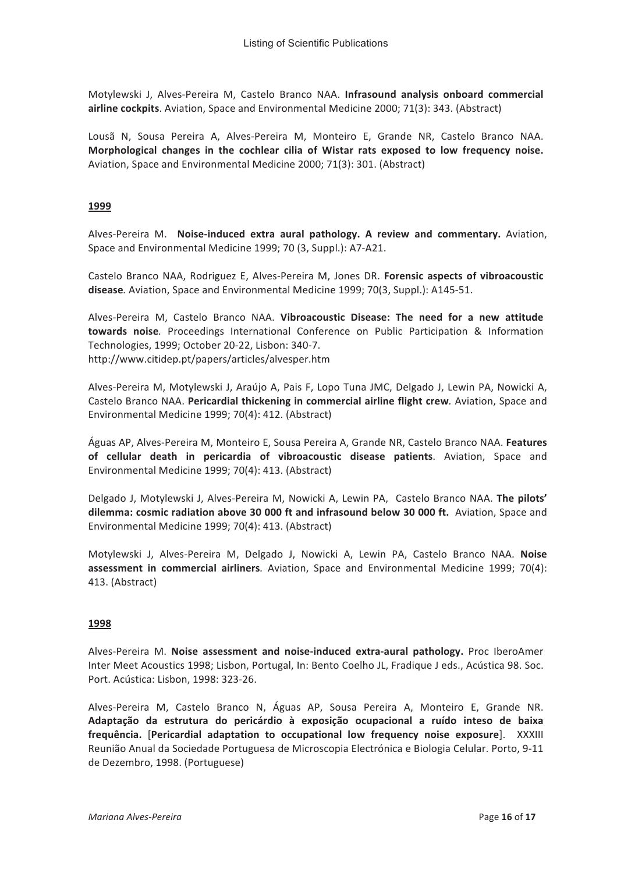Motylewski J, Alves-Pereira M, Castelo Branco NAA. Infrasound analysis onboard commercial airline cockpits. Aviation, Space and Environmental Medicine 2000; 71(3): 343. (Abstract)

Lousã N, Sousa Pereira A, Alves-Pereira M, Monteiro E, Grande NR, Castelo Branco NAA. Morphological changes in the cochlear cilia of Wistar rats exposed to low frequency noise. Aviation, Space and Environmental Medicine 2000; 71(3): 301. (Abstract)

# 1999

Alves-Pereira M. Noise-induced extra aural pathology. A review and commentary. Aviation, Space and Environmental Medicine 1999; 70 (3, Suppl.): A7-A21.

Castelo Branco NAA, Rodriguez E, Alves-Pereira M, Jones DR. Forensic aspects of vibroacoustic disease. Aviation, Space and Environmental Medicine 1999; 70(3, Suppl.): A145-51.

Alves-Pereira M, Castelo Branco NAA. Vibroacoustic Disease: The need for a new attitude towards noise. Proceedings International Conference on Public Participation & Information Technologies, 1999; October 20-22, Lisbon: 340-7. http://www.citidep.pt/papers/articles/alvesper.htm

Alves-Pereira M, Motylewski J, Araújo A, Pais F, Lopo Tuna JMC, Delgado J, Lewin PA, Nowicki A, Castelo Branco NAA. Pericardial thickening in commercial airline flight crew. Aviation, Space and Environmental Medicine 1999: 70(4): 412. (Abstract)

Águas AP, Alves-Pereira M, Monteiro E, Sousa Pereira A, Grande NR, Castelo Branco NAA. Features of cellular death in pericardia of vibroacoustic disease patients. Aviation, Space and Environmental Medicine 1999; 70(4): 413. (Abstract)

Delgado J, Motylewski J, Alves-Pereira M, Nowicki A, Lewin PA, Castelo Branco NAA. The pilots' dilemma: cosmic radiation above 30 000 ft and infrasound below 30 000 ft. Aviation, Space and Environmental Medicine 1999; 70(4): 413. (Abstract)

Motylewski J, Alves-Pereira M, Delgado J, Nowicki A, Lewin PA, Castelo Branco NAA. Noise assessment in commercial airliners. Aviation, Space and Environmental Medicine 1999; 70(4): 413. (Abstract)

#### 1998

Alves-Pereira M. Noise assessment and noise-induced extra-aural pathology. Proc IberoAmer Inter Meet Acoustics 1998; Lisbon, Portugal, In: Bento Coelho JL, Fradique J eds., Acústica 98. Soc. Port. Acústica: Lisbon, 1998: 323-26.

Alves-Pereira M, Castelo Branco N, Águas AP, Sousa Pereira A, Monteiro E, Grande NR. Adaptação da estrutura do pericárdio à exposição ocupacional a ruído inteso de baixa frequência. [Pericardial adaptation to occupational low frequency noise exposure]. XXXIII Reunião Anual da Sociedade Portuguesa de Microscopia Electrónica e Biologia Celular. Porto, 9-11 de Dezembro, 1998. (Portuguese)